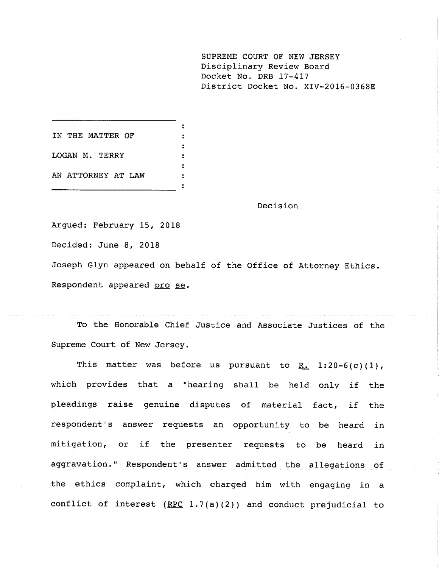**SUPREME COURT OF NEW JERSEY** Disciplinary Review Board Docket No. DRB 17-417 District Docket No. XIV-2016-0368E

IN THE MATTER OF LOGAN M. TERRY AN ATTORNEY AT LAW

Decision

Argued: February 15, 2018 Decided: June 8, 2018

Joseph Glyn appeared on behalf of the Office of Attorney Ethics.

Respondent appeared pro se.

To the Honorable Chief Justice and Associate Justices of the Supreme Court of New Jersey.

This matter was before us pursuant to R. 1:20-6(c)(1), which provides that a "hearing shall be held only if the pleadings raise genuine disputes of material fact, if the respondent's answer requests an opportunity to be heard in mitigation, or if the presenter requests to be heard in aggravation." Respondent's answer admitted the allegations of the ethics complaint, which charged him with engaging in a conflict of interest  $(RPC 1.7(a)(2))$  and conduct prejudicial to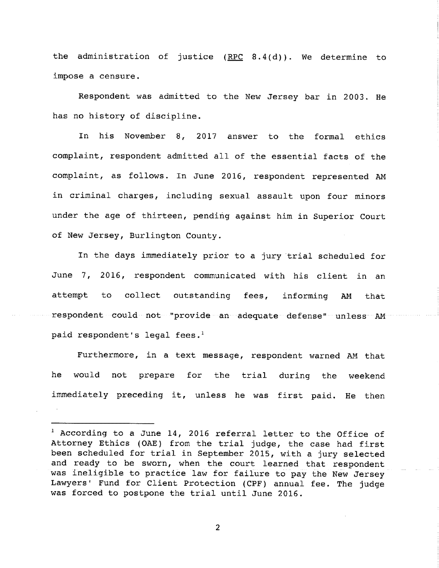the administration of justice  $(RPC 8.4(d))$ . We determine to impose a censure.

was admitted to the New Jersey bar in 2003. He has no history of discipline.

In his November 8, 2017 answer to the formal ethics complaint, respondent admitted all of the essential facts of the complaint, as follows. In June 2016, respondent represented AM in criminal charges, including sexual assault upon four minors under the age of thirteen, pending against him in Superior Court of New Jersey, Burlington County.

In the days immediately prior to a jury trial scheduled for June 7, 2016, respondent communicated with his client in an attempt to collect outstanding fees, informing AM that respondent could not "provide an adequate defense" unless AM paid respondent's legal fees.<sup>1</sup>

Furthermore, in a text message, respondent warned AM that he would not prepare for the trial during the weekend immediately preceding it, unless he was first paid. He then

<sup>&</sup>lt;sup>1</sup> According to a June 14, 2016 referral letter to the Office of Attorney Ethics (OAE) from the trial judge, the case had first been scheduled for trial in September 2015, with a jury selected and ready to be sworn, when the court learned that respondent was ineligible to practice law for failure to pay the New Jersey Lawyers' Fund for Client Protection (CPF) annual fee. The judge was forced to postpone the trial until June 2016.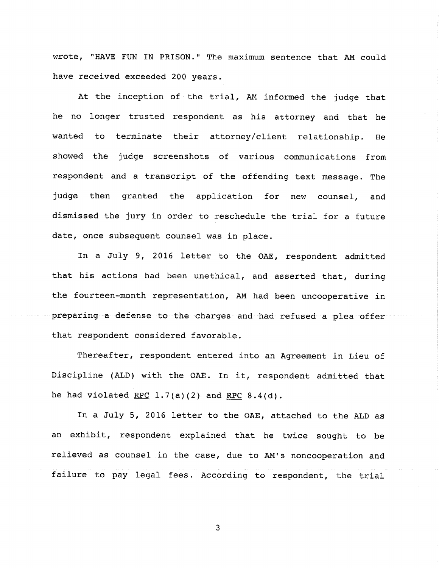wrote, "HAVE FUN IN PRISON." The maximum sentence that AM could have received exceeded 200 years.

At the inception of the trial, AM informed the judge that he no longer trusted respondent as his attorney and that he wanted to terminate their attorney/client relationship. He showed the judge screenshots of various communications from respondent and a transcript of the offending text message. The judge then granted the application for new counsel, and dismissed the jury in order to reschedule the trial for a future date, once subsequent counsel was in place.

In a July 9, 2016 letter to the OAE, respondent admitted that his actions had been unethical, and asserted that, during the fourteen-month representation, AM had been uncooperative in preparing a defense to the charges and had refused a plea offer that respondent considered favorable.

Thereafter, respondent entered into an Agreement in Lieu of Discipline (ALD) with the OAE. In it, respondent admitted that he had violated RPC  $1.7(a)(2)$  and RPC  $8.4(d)$ .

In a July 5, 2016 letter to the OAE, attached to the ALD as an exhibit, respondent explained that he twice sought to be relieved as counsel in the case, due to AM's noncooperation and failure to pay legal fees. According to respondent, the trial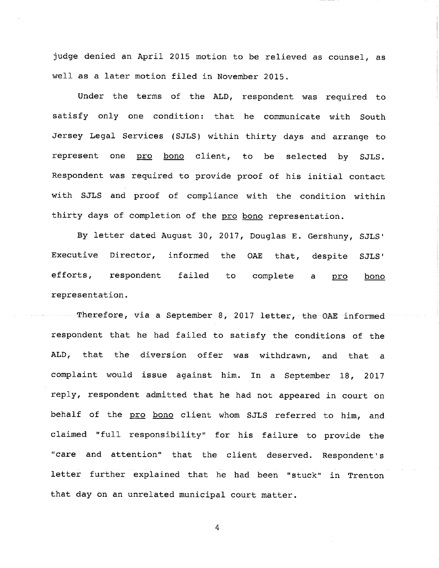an April 2015 motion to be relieved as counsel, as well as a later motion filed in November 2015.

Under the terms of the ALD, respondent was required to only one condition: that he communicate with South Services (SJLS) within thirty days and arrange to one pro bono client, to be selected by SJLS. Respondent was required to provide proof of his initial contact with SJLS and proof of compliance with the condition within thirty days of completion of the pro bono representation.

By letter dated August 30, 2017, Douglas E. Gershuny, SJLS' Executive Director, informed the OAE that, despite SJLS' efforts, respondent failed to complete a pro bono representation.

Therefore, via a September 8, 2017 letter, the OAE informed respondent that he had failed to satisfy the conditions of the ALD, that the diversion offer was withdrawn, and that a complaint would issue against him. In a September 18, 2017 reply, respondent admitted that he had not appeared in court on behalf of the pro bono client whom SJLS referred to him, and claimed "full responsibility" for his failure to provide the "care and attention" that the client deserved. Respondent's letter further explained that he had been "stuck" in Trenton that day on an unrelated municipal court matter.

 $\overline{4}$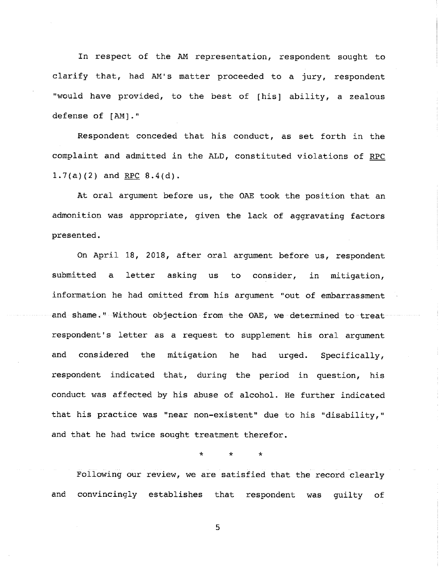In respect of the AM representation, respondent sought to clarify that, had AM's matter proceeded to a jury, respondent "would have provided, to the best of [his] ability, a zealous defense of [AM]."

complaint and admitted in the ALD, constituted violations of RPC Respondent conceded that his conduct, as set forth in the  $1.7(a)(2)$  and RPC  $8.4(d)$ .

At oral argument before us, the OAE took the position that an admonition was appropriate, given the lack of aggravating factors presented.

On April 18, 2018, after oral argument before us, respondent submitted a letter asking us to consider, in mitigation, information he had omitted from his argument "out of embarrassment and shame." Without objection from the OAE, we determined to treat respondent's letter as a request to supplement his oral argument and considered the mitigation he had urged. Specifically, respondent indicated that, during the period in question, his conduct was affected by his abuse of alcohol. He further indicated that his practice was "near non-existent" due to his "disability," and that he had twice sought treatment therefor.

\* \* \*

Following our review, we are satisfied that the record clearly and convincingly establishes that respondent was guilty of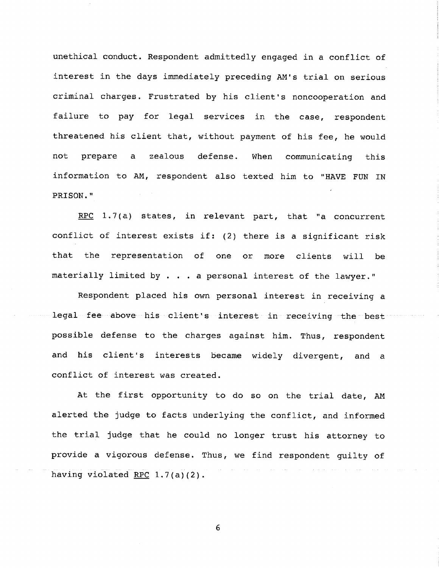unethical conduct. Respondent admittedly engaged in a conflict of interest in the days immediately preceding AM's trial on serious criminal charges. Frustrated by his client's noncooperation and to pay for legal services in the case, threatened his client that, without payment of his fee, he would not prepare a zealous defense. When communicating this information to AM, respondent also texted him to "HAVE FUN IN **PRISON."**

RPC 1.7(a) states, in relevant part, that "a concurrent conflict of interest exists if: (2) there is a significant risk that the representation of one or more clients will be materially limited by . . . a personal interest of the lawyer."

Respondent placed his own personal interest in receiving a legal fee above his client's interest in receiving the best possible defense to the charges against him. Thus, respondent and his client's interests became widely divergent, and a conflict of interest was created.

At the first opportunity to do so on the trial date, AM alerted the judge to facts underlying the conflict, and informed the trial judge that he could no longer trust his attorney to provide a vigorous defense. Thus, we find respondent guilty of having violated RPC  $1.7(a)(2)$ .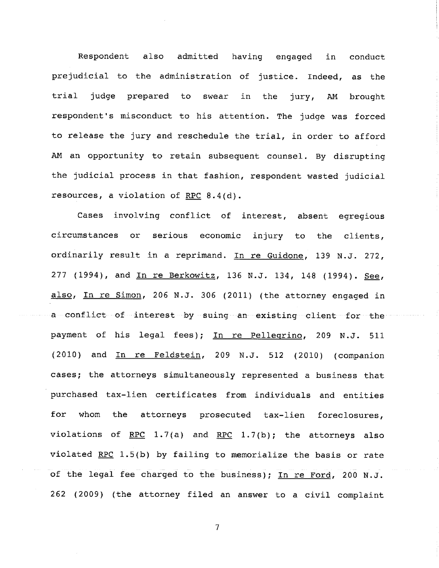Respondent also admitted having engaged in conduct prejudicial to the administration of justice. Indeed, as the trial judge prepared to swear in the jury, AM brought respondent's misconduct to his attention. The judge was forced to release the jury and reschedule the trial, in order to afford AM an opportunity to retain subsequent counsel. By the judicial process in that fashion, respondent wasted judicial resources, a violation of RPC 8.4(d).

Cases involving conflict of interest, absent egregious or serious economic injury circumstances the clients, ordinarily result in a reprimand. In re Guidone, 139 N.J. 272, 277 (1994), and In re Berkowitz, 136 N.J. 134, 148 (1994). See, also, In re Simon, 206 N.J. 306 (2011) (the attorney engaged in a conflict of interest by suing an existing client for the payment of his legal fees); In re Pellegrino, 209 N.J. 511  $(2010)$  and  $\overline{In}$  re Feldstein, 209 N.J. 512 (2010) (companion cases; the attorneys simultaneously represented a business that purchased tax-lien certificates from individuals and entities for whom the attorneys prosecuted tax-lien foreclosures, violations of RPC 1.7(a) and RPC 1.7(b); the attorneys also violated RPC  $1.5(b)$  by failing to memorialize the basis or rate of the legal fee charged to the business); In re Ford, 200 N.J. 262 (2009) (the attorney filed an answer to a civil complaint

 $\overline{7}$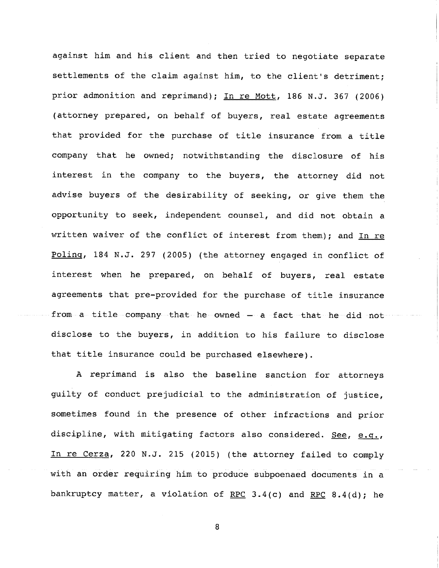against him and his client and then tried to negotiate separate settlements of the claim against him, to the client's detriment; prior admonition and reprimand); In re Mott, 186 N.J. 367 (2006) that provided for the purchase of title insurance from a (attorney prepared, on behalf of buyers, real estate agreements company that he owned; notwithstanding the disclosure of his interest in the company to the buyers, the attorney did not advise buyers of the desirability of seeking, or give them the opportunity to seek, independent counsel, and did not obtain a written waiver of the conflict of interest from them); and In re Polinq, 184 N.J. 297 (2005) (the attorney engaged in conflict of interest when he prepared, on behalf of buyers, real estate agreements that pre-provided for the purchase of title insurance from a title company that he owned - a fact that he did not disclose to the buyers, in addition to his failure to disclose that title insurance could be purchased elsewhere).

A reprimand is also the baseline sanction for attorneys guilty of conduct prejudicial to the administration of justice, sometimes found in the presence of other infractions and prior discipline, with mitigating factors also considered. See, e.g., In re Cerza, 220 N.J. 215 (2015) (the attorney failed to comply with an order requiring him to produce subpoenaed documents in a bankruptcy matter, a violation of RPC 3.4(c) and RPC 8.4(d); he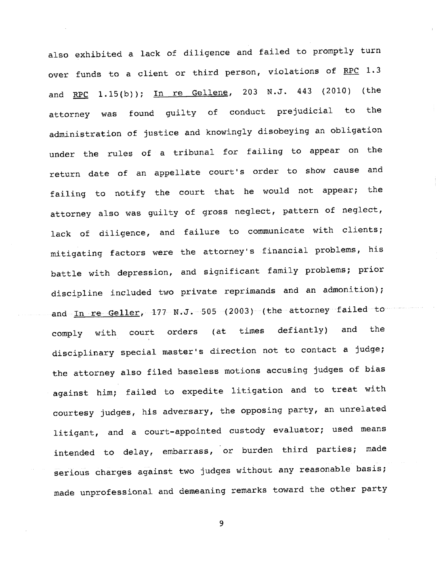also exhibited a lack of diligence and failed to promptly turn over funds to a client or third person, violations of RPC  $1.3\,$ and <u>RPC</u> 1.15(b)); <u>In re Gellene</u>, 203 N.J. 443 (2010) (the attorney was found guilty of conduct prejudicial to the administration of justice and knowingly disobeying an obligation under the rules of a tribunal for failing to appear on the return date of an appellate court's order to show cause and failing to notify the court that he would not appear; the attorney also was guilty of gross neglect, pattern of neglect, lack of diligence, and failure to communicate with clients; mitigating factors were the attorney's financial problems, his battle with depression, and significant family problems; prior discipline included two private reprimands and an admonition); and In re Geller,  $177 - N.J. -505$  (2003) (the attorney failed to comply with court orders (at times defiantly) and the disciplinary special master's direction not to contact a judge; the attorney also filed baseless motions accusing judges of bias against him; failed to expedite litigation and to treat with courtesy judges, his adversary, the opposing party, an unrelated litigant, and a court-appointed custody evaluator; used means intended to delay, embarrass, or burden third parties; made serious charges against two judges without any reasonable basis; made unprofessional and demeaning remarks toward the other party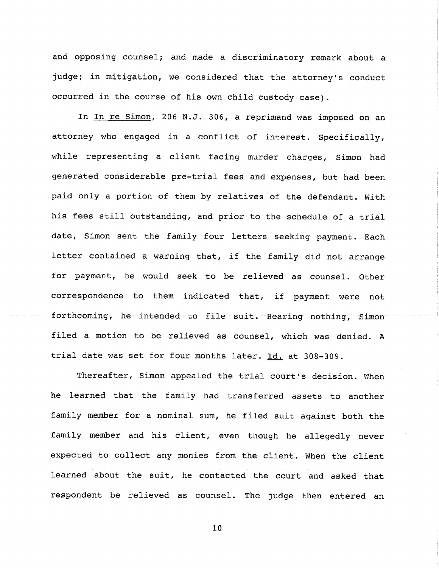and counsel; and made a discriminatory remark about a judge; in mitigation, we considered that the attorney's conduct occurred in the course of his own child custody case).

In In re Simon, 206 N.J. 306, a reprimand was imposed on an attorney who engaged in a conflict of interest. Specifically, while representing a client facing murder charges, Simon had generated considerable pre-trial fees and expenses, but had been paid only a portion of them by relatives of the defendant. With his fees still outstanding, and prior to the schedule of a trial date, Simon sent the family four letters seeking payment. Each letter contained a warning that, if the family did not arrange for payment, he would seek to be relieved as counsel. Other correspondence to them indicated that, if payment were not forthcoming, he intended to file suit. Hearing nothing, Simon filed a motion to be relieved as counsel, which was denied. A trial date was set for four months later. Id. at 308-309.

Thereafter, Simon appealed the trial court's decision. When he learned that the family had transferred assets to another family member for a nominal sum, he filed suit against both the family member and his client, even though he allegedly never expected to collect any monies from the client. When the client learned about the suit, he contacted the court and asked that respondent be relieved as counsel. The judge then entered an

i0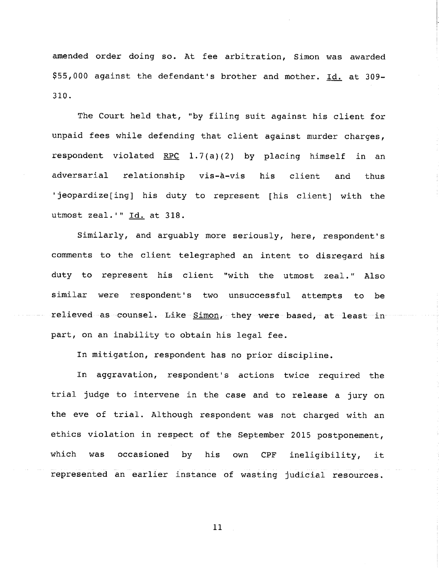amended order doing so. At fee arbitration, Simon was awarded \$55,000 against the defendant's brother and mother. Id. at 309-310.

The Court held that, "by filing suit against his client for fees while defending that client against murder charges, violated RPC 1.7(a)(2) by placing himself in an adversarial relationship vis-à-vis his client and thus 'jeopardize[ing] his duty to represent [his client] with the utmost zeal.'" Id. at 318.

Similarly, and arguably more seriously, here, respondent's comments to the client telegraphed an intent to disregard his duty to represent his client "with the utmost zeal." Also similar were respondent's two unsuccessful attempts to be relieved as counsel. Like Simon, they were based, at least in part, on an inability to obtain his legal fee.

In mitigation, respondent has no prior discipline.

In aggravation, respondent's actions twice required the trial judge to intervene in the case and to release a jury on the eve of trial. Although respondent was not charged with an ethics violation in respect of the September 2015 postponement, which was occasioned by his own CPF ineligibility, it represented an earlier instance of wasting judicial resources.

ii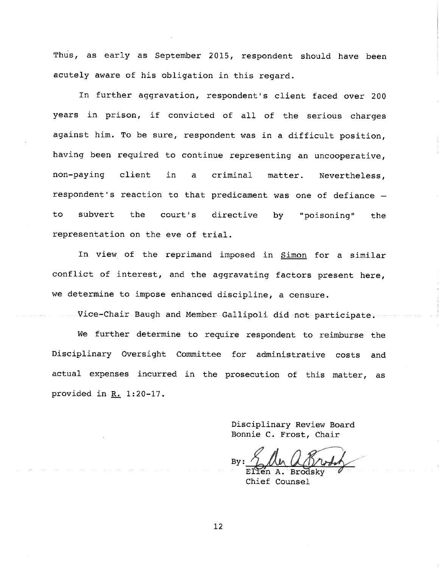Thus, as early as September 2015, respondent should have been acutely aware of his obligation in this regard.

In further aggravation, respondent's client faced over 200 years in prison, if convicted of all of the serious charges against him. To be sure, respondent was in a difficult position, been required to continue representing an uncooperative, non-paying client in a criminal matter. Nevertheless, respondent's reaction to that predicament was one of defiance to subvert the court's directive by "poisoning" the representation on the eve of trial.

In view of the reprimand imposed in Simon for a similar conflict of interest, and the aggravating factors present here, we determine to impose enhanced discipline, a censure.

Vice-Chair Baugh and Member Gallipoli did not participate.

We further determine to require respondent to reimburse the Disciplinary Oversight Committee for administrative costs and actual expenses incurred in the prosecution of this matter, as provided in  $R_+$  1:20-17.

> Disciplinary Review Board Bonnie C. Frost, Chair

**By:** Ellen A. Brodsky

Chief Counsel